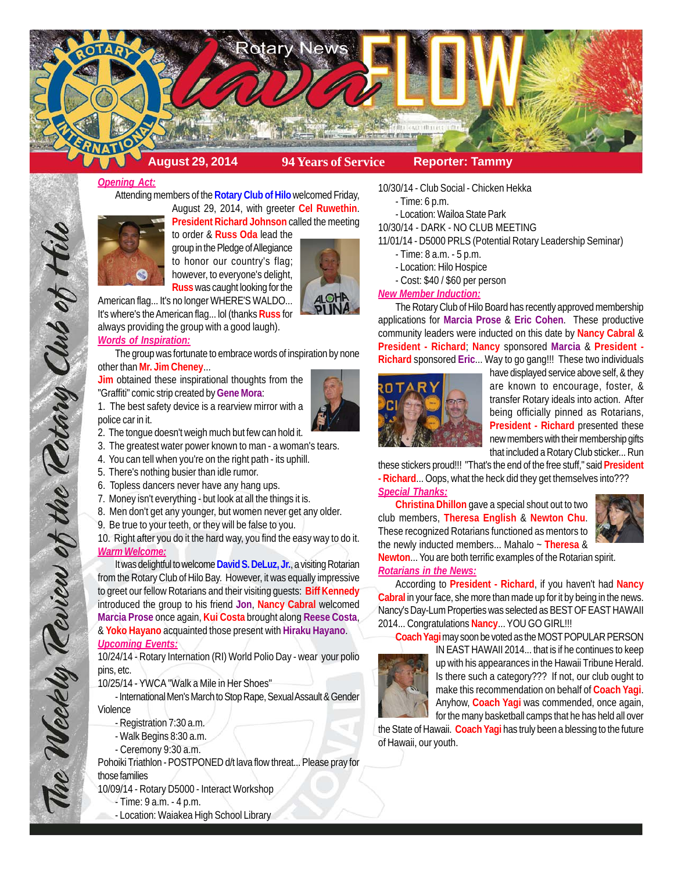

## *Opening Act:*

Attending members of the **Rotary Club of Hilo** welcomed Friday, August 29, 2014, with greeter **Cel Ruwethin**.



**President Richard Johnson** called the meeting to order & **Russ Oda** lead the group in the Pledge of Allegiance to honor our country's flag; however, to everyone's delight, **Russ** was caught looking for the



American flag... It's no longer WHERE'S WALDO... It's where's the American flag... lol (thanks **Russ** for always providing the group with a good laugh). *Words of Inspiration:*

The group was fortunate to embrace words of inspiration by none other than **Mr. Jim Cheney**...

**Jim** obtained these inspirational thoughts from the "Graffiti" comic strip created by **Gene Mora**:



2. The tongue doesn't weigh much but few can hold it.

- 3. The greatest water power known to man a woman's tears.
- 4. You can tell when you're on the right path its uphill.
- 5. There's nothing busier than idle rumor.

The Weekly Review of the Rotary Club of Hilo

- 6. Topless dancers never have any hang ups.
- 7. Money isn't everything but look at all the things it is.
- 8. Men don't get any younger, but women never get any older.
- 9. Be true to your teeth, or they will be false to you.

10. Right after you do it the hard way, you find the easy way to do it. *Warm Welcome:*

It was delightful to welcome **David S. DeLuz, Jr.**, a visiting Rotarian from the Rotary Club of Hilo Bay. However, it was equally impressive to greet our fellow Rotarians and their visiting guests: **Biff Kennedy** introduced the group to his friend **Jon**, **Nancy Cabral** welcomed **Marcia Prose** once again, **Kui Costa** brought along **Reese Costa**, & **Yoko Hayano** acquainted those present with **Hiraku Hayano**. *Upcoming Events:*

10/24/14 - Rotary Internation (RI) World Polio Day - wear your polio pins, etc.

10/25/14 - YWCA "Walk a Mile in Her Shoes"

- International Men's March to Stop Rape, Sexual Assault & Gender Violence

- Registration 7:30 a.m.
- Walk Begins 8:30 a.m.
- Ceremony 9:30 a.m.

Pohoiki Triathlon - POSTPONED d/t lava flow threat... Please pray for those families

10/09/14 - Rotary D5000 - Interact Workshop

- Time: 9 a.m. 4 p.m.
- Location: Waiakea High School Library

10/30/14 - Club Social - Chicken Hekka

- Time: 6 p.m.
- Location: Wailoa State Park

10/30/14 - DARK - NO CLUB MEETING

11/01/14 - D5000 PRLS (Potential Rotary Leadership Seminar)

- Time: 8 a.m. 5 p.m.
- Location: Hilo Hospice
- Cost: \$40 / \$60 per person

# *New Member Induction:*

The Rotary Club of Hilo Board has recently approved membership applications for **Marcia Prose** & **Eric Cohen**. These productive community leaders were inducted on this date by **Nancy Cabral** & **President - Richard**; **Nancy** sponsored **Marcia** & **President - Richard** sponsored **Eric**... Way to go gang!!! These two individuals



have displayed service above self, & they are known to encourage, foster, & transfer Rotary ideals into action. After being officially pinned as Rotarians, **President - Richard** presented these new members with their membership gifts that included a Rotary Club sticker... Run

these stickers proud!!! "That's the end of the free stuff," said **President - Richard**... Oops, what the heck did they get themselves into??? *Special Thanks:*

**Christina Dhillon** gave a special shout out to two club members, **Theresa English** & **Newton Chu**. These recognized Rotarians functioned as mentors to the newly inducted members... Mahalo ~ **Theresa** &



**Newton**... You are both terrific examples of the Rotarian spirit. *Rotarians in the News:*

According to **President - Richard**, if you haven't had **Nancy Cabral** in your face, she more than made up for it by being in the news. Nancy's Day-Lum Properties was selected as BEST OF EAST HAWAII 2014... Congratulations **Nancy**... YOU GO GIRL!!!

**Coach Yagi** may soon be voted as the MOST POPULAR PERSON IN EAST HAWAII 2014... that is if he continues to keep up with his appearances in the Hawaii Tribune Herald. Is there such a category??? If not, our club ought to make this recommendation on behalf of **Coach Yagi**. Anyhow, **Coach Yagi** was commended, once again,

for the many basketball camps that he has held all over the State of Hawaii. **Coach Yagi** has truly been a blessing to the future of Hawaii, our youth.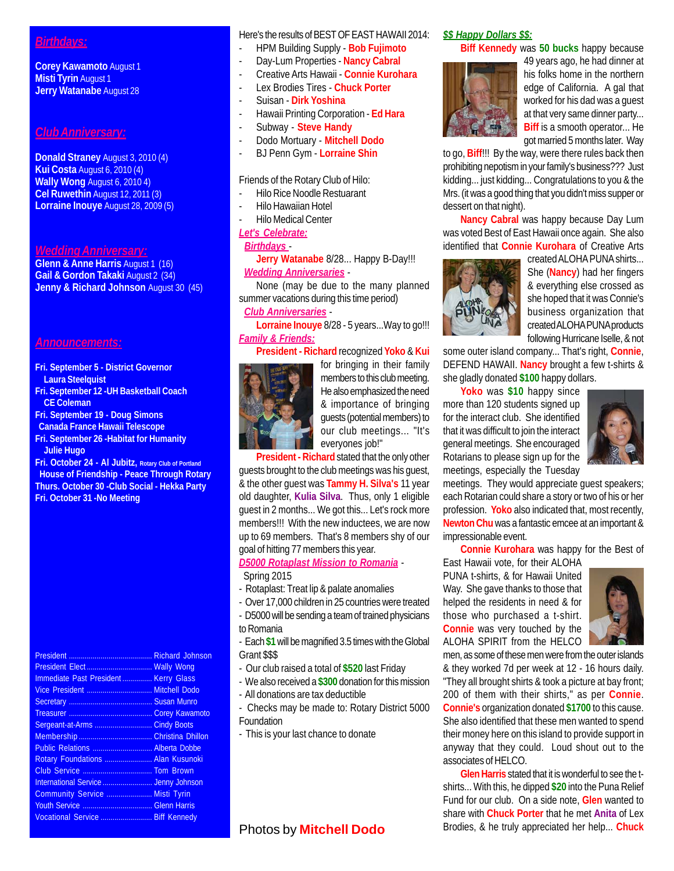## *Birthdays:*

**Corey Kawamoto** August 1 **Misti Tyrin** August 1 **Jerry Watanabe** August 28

### *Club Anniversary:*

**Donald Straney** August 3, 2010 (4) **Kui Costa** August 6, 2010 (4) **Wally Wong** August 6, 2010 4) **Cel Ruwethin** August 12, 2011 (3) **Lorraine Inouye** August 28, 2009 (5)

### *Wedding Anniversary:*

**Glenn & Anne Harris** August 1 (16) **Gail & Gordon Takaki** August 2 (34) **Jenny & Richard Johnson** August 30 (45)

#### *Announcements:*

- **Fri. September 5 District Governor Laura Steelquist**
- **Fri. September 12 -UH Basketball Coach CE Coleman**
- **Fri. September 19 Doug Simons Canada France Hawaii Telescope**
- **Fri. September 26 -Habitat for Humanity Julie Hugo**

**Fri. October 24 - Al Jubitz, Rotary Club of Portland House of Friendship - Peace Through Rotary Thurs. October 30 -Club Social - Hekka Party Fri. October 31 -No Meeting**

President .......................................... Richard Johnson President Elect ................................. Wally Wong Immediate Past President ............... Kerry Glass Vice President ................................. Mitchell Dodo Secretary .......................................... Susan Munro Treasurer .......................................... Corey Kawamoto Sergeant-at-Arms ............................. Cindy Boots Membership ..................................... Christina Dhillon Public Relations .............................. Alberta Dobbe Rotary Foundations ........................ Alan Kusunoki Club Service ................................... Tom Brown International Service ......................... Jenny Johnson Community Service ....................... Misti Tyrin Youth Service ................................... Glenn Harris Vocational Service .......................... Biff Kennedy

### Here's the results of BEST OF EAST HAWAII 2014:

- HPM Building Supply **Bob Fujimoto**
- Day-Lum Properties **Nancy Cabral**
- Creative Arts Hawaii **Connie Kurohara**
- Lex Brodies Tires **Chuck Porter**
- Suisan **Dirk Yoshina**
- Hawaii Printing Corporation **Ed Hara**
- Subway **Steve Handy**
- Dodo Mortuary **Mitchell Dodo**
- BJ Penn Gym **Lorraine Shin**
- Friends of the Rotary Club of Hilo:
- Hilo Rice Noodle Restuarant
- Hilo Hawaiian Hotel
- Hilo Medical Center
- *Let's Celebrate:*

### *Birthdays* -

**Jerry Watanabe** 8/28... Happy B-Day!!! *Wedding Anniversaries* -

None (may be due to the many planned summer vacations during this time period)

 *Club Anniversaries* - **Lorraine Inouye** 8/28 - 5 years...Way to go!!!

*Family & Friends:*



**President - Richard** recognized **Yoko** & **Kui** for bringing in their family members to this club meeting. He also emphasized the need & importance of bringing guests (potential members) to our club meetings... "It's everyones job!"

**President - Richard** stated that the only other guests brought to the club meetings was his guest, & the other guest was **Tammy H. Silva's** 11 year old daughter, **Kulia Silva**. Thus, only 1 eligible guest in 2 months... We got this... Let's rock more members!!! With the new inductees, we are now up to 69 members. That's 8 members shy of our goal of hitting 77 members this year.

*D5000 Rotaplast Mission to Romania* - Spring 2015

- Rotaplast: Treat lip & palate anomalies
- Over 17,000 children in 25 countries were treated
- D5000 will be sending a team of trained physicians to Romania

- Each **\$1** will be magnified 3.5 times with the Global Grant \$\$\$

- Our club raised a total of **\$520** last Friday
- We also received a **\$300** donation for this mission
- All donations are tax deductible
- Checks may be made to: Rotary District 5000 Foundation
- This is your last chance to donate

## *\$\$ Happy Dollars \$\$:*

**Biff Kennedy** was **50 bucks** happy because



49 years ago, he had dinner at his folks home in the northern edge of California. A gal that worked for his dad was a guest at that very same dinner party... **Biff** is a smooth operator... He got married 5 months later. Way

to go, **Biff**!!! By the way, were there rules back then prohibiting nepotism in your family's business??? Just kidding... just kidding... Congratulations to you & the Mrs. (it was a good thing that you didn't miss supper or dessert on that night).

**Nancy Cabral** was happy because Day Lum was voted Best of East Hawaii once again. She also identified that **Connie Kurohara** of Creative Arts



created ALOHA PUNA shirts... She (**Nancy**) had her fingers & everything else crossed as she hoped that it was Connie's business organization that created ALOHA PUNA products following Hurricane Iselle, & not

some outer island company... That's right, **Connie**, DEFEND HAWAII. **Nancy** brought a few t-shirts & she gladly donated **\$100** happy dollars.

**Yoko** was **\$10** happy since more than 120 students signed up for the interact club. She identified that it was difficult to join the interact general meetings. She encouraged Rotarians to please sign up for the meetings, especially the Tuesday



meetings. They would appreciate guest speakers; each Rotarian could share a story or two of his or her profession. **Yoko** also indicated that, most recently, **Newton Chu** was a fantastic emcee at an important & impressionable event.

**Connie Kurohara** was happy for the Best of

East Hawaii vote, for their ALOHA PUNA t-shirts, & for Hawaii United Way. She gave thanks to those that helped the residents in need & for those who purchased a t-shirt. **Connie** was very touched by the ALOHA SPIRIT from the HELCO



men, as some of these men were from the outer islands & they worked 7d per week at 12 - 16 hours daily. "They all brought shirts & took a picture at bay front; 200 of them with their shirts," as per **Connie**. **Connie's** organization donated **\$1700** to this cause. She also identified that these men wanted to spend their money here on this island to provide support in anyway that they could. Loud shout out to the associates of HELCO.

**Glen Harris** stated that it is wonderful to see the tshirts... With this, he dipped **\$20** into the Puna Relief Fund for our club. On a side note, **Glen** wanted to share with **Chuck Porter** that he met **Anita** of Lex Brodies, & he truly appreciated her help... **Chuck**

## Photos by **Mitchell Dodo**